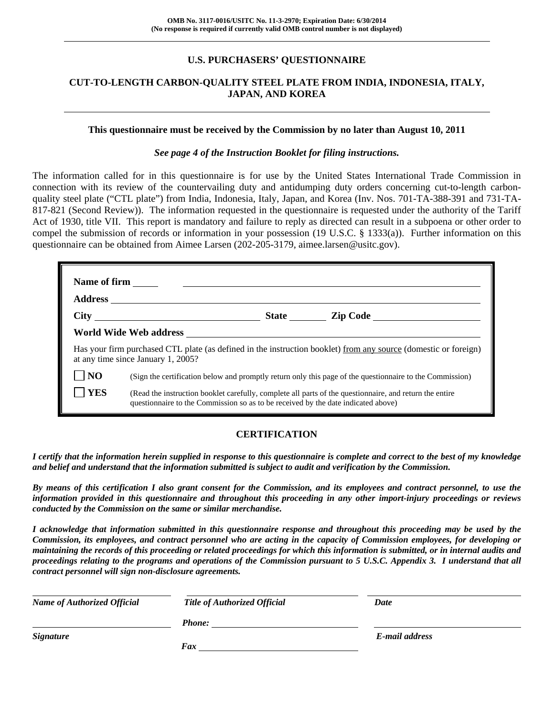# **U.S. PURCHASERS' QUESTIONNAIRE**

# **CUT-TO-LENGTH CARBON-QUALITY STEEL PLATE FROM INDIA, INDONESIA, ITALY, JAPAN, AND KOREA**

#### **This questionnaire must be received by the Commission by no later than August 10, 2011**

#### *See page 4 of the Instruction Booklet for filing instructions.*

The information called for in this questionnaire is for use by the United States International Trade Commission in connection with its review of the countervailing duty and antidumping duty orders concerning cut-to-length carbonquality steel plate ("CTL plate") from India, Indonesia, Italy, Japan, and Korea (Inv. Nos. 701-TA-388-391 and 731-TA-817-821 (Second Review)). The information requested in the questionnaire is requested under the authority of the Tariff Act of 1930, title VII. This report is mandatory and failure to reply as directed can result in a subpoena or other order to compel the submission of records or information in your possession (19 U.S.C. § 1333(a)). Further information on this questionnaire can be obtained from Aimee Larsen (202-205-3179, aimee.larsen@usitc.gov).

|            | Has your firm purchased CTL plate (as defined in the instruction booklet) from any source (domestic or foreign)<br>at any time since January 1, 2005?                                        |  |  |  |  |  |
|------------|----------------------------------------------------------------------------------------------------------------------------------------------------------------------------------------------|--|--|--|--|--|
| <b>NO</b>  | (Sign the certification below and promptly return only this page of the questionnaire to the Commission)                                                                                     |  |  |  |  |  |
| <b>YES</b> | (Read the instruction booklet carefully, complete all parts of the questionnaire, and return the entire<br>questionnaire to the Commission so as to be received by the date indicated above) |  |  |  |  |  |

# **CERTIFICATION**

*I certify that the information herein supplied in response to this questionnaire is complete and correct to the best of my knowledge and belief and understand that the information submitted is subject to audit and verification by the Commission.* 

*By means of this certification I also grant consent for the Commission, and its employees and contract personnel, to use the information provided in this questionnaire and throughout this proceeding in any other import-injury proceedings or reviews conducted by the Commission on the same or similar merchandise.* 

*I acknowledge that information submitted in this questionnaire response and throughout this proceeding may be used by the Commission, its employees, and contract personnel who are acting in the capacity of Commission employees, for developing or maintaining the records of this proceeding or related proceedings for which this information is submitted, or in internal audits and proceedings relating to the programs and operations of the Commission pursuant to 5 U.S.C. Appendix 3. I understand that all contract personnel will sign non-disclosure agreements.* 

| <b>Name of Authorized Official</b> | <b>Title of Authorized Official</b> | Date           |  |
|------------------------------------|-------------------------------------|----------------|--|
|                                    | <b>Phone:</b>                       |                |  |
| <i>Signature</i>                   |                                     | E-mail address |  |
|                                    | Fax                                 |                |  |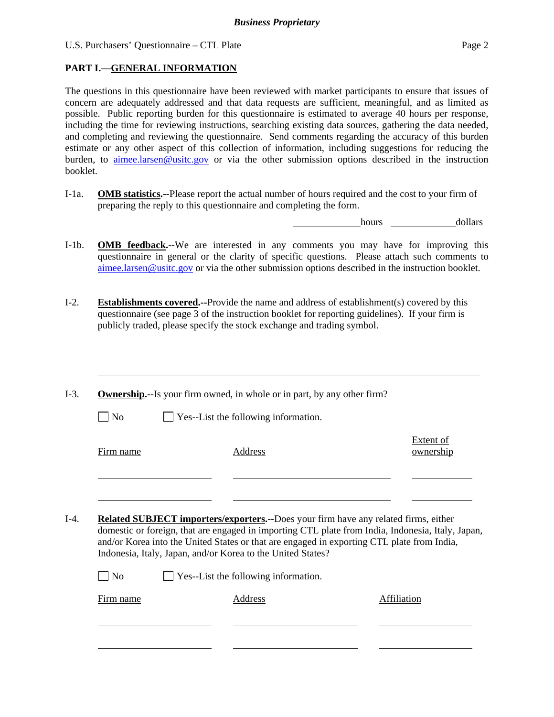# **PART I.—GENERAL INFORMATION**

The questions in this questionnaire have been reviewed with market participants to ensure that issues of concern are adequately addressed and that data requests are sufficient, meaningful, and as limited as possible. Public reporting burden for this questionnaire is estimated to average 40 hours per response, including the time for reviewing instructions, searching existing data sources, gathering the data needed, and completing and reviewing the questionnaire. Send comments regarding the accuracy of this burden estimate or any other aspect of this collection of information, including suggestions for reducing the burden, to aimee.larsen@usitc.gov or via the other submission options described in the instruction booklet.

I-1a. **OMB statistics.--**Please report the actual number of hours required and the cost to your firm of preparing the reply to this questionnaire and completing the form.

hours dollars

- I-1b. **OMB feedback.--**We are interested in any comments you may have for improving this questionnaire in general or the clarity of specific questions. Please attach such comments to aimee.larsen@usitc.gov or via the other submission options described in the instruction booklet.
- I-2. **Establishments covered.--**Provide the name and address of establishment(s) covered by this questionnaire (see page 3 of the instruction booklet for reporting guidelines). If your firm is publicly traded, please specify the stock exchange and trading symbol.
- I-3. **Ownership.--**Is your firm owned, in whole or in part, by any other firm?
	-

l

l

l

 $\Box$  No  $\Box$  Yes--List the following information.

Firm name Address

Extent of ownership

I-4. **Related SUBJECT importers/exporters.--**Does your firm have any related firms, either domestic or foreign, that are engaged in importing CTL plate from India, Indonesia, Italy, Japan, and/or Korea into the United States or that are engaged in exporting CTL plate from India, Indonesia, Italy, Japan, and/or Korea to the United States?

| $\Box$ No | $\Box$ Yes--List the following information. |             |
|-----------|---------------------------------------------|-------------|
| Firm name | Address                                     | Affiliation |
|           |                                             |             |
|           |                                             |             |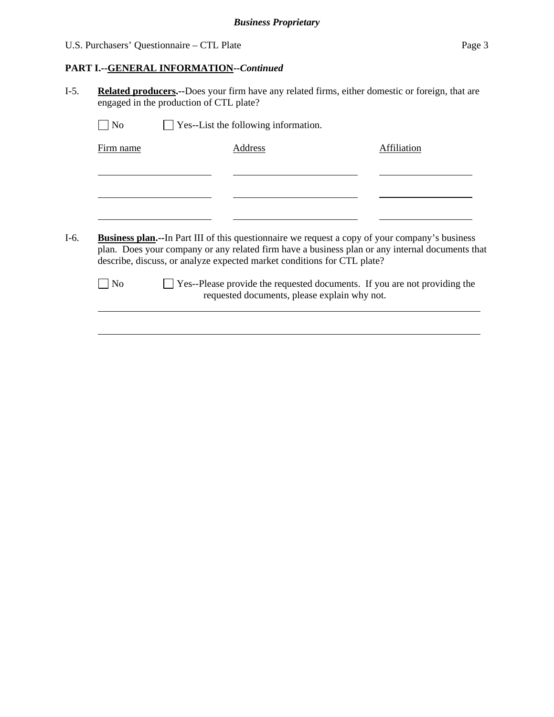# **PART I.--GENERAL INFORMATION***--Continued*

I-5. **Related producers.--**Does your firm have any related firms, either domestic or foreign, that are engaged in the production of CTL plate?

| No             | Yes--List the following information.                                                                                                                                                                                                                                                |             |
|----------------|-------------------------------------------------------------------------------------------------------------------------------------------------------------------------------------------------------------------------------------------------------------------------------------|-------------|
| Firm name      | Address                                                                                                                                                                                                                                                                             | Affiliation |
|                |                                                                                                                                                                                                                                                                                     |             |
|                |                                                                                                                                                                                                                                                                                     |             |
|                |                                                                                                                                                                                                                                                                                     |             |
|                | <b>Business plan.--In</b> Part III of this questionnaire we request a copy of your company's business<br>plan. Does your company or any related firm have a business plan or any internal documents that<br>describe, discuss, or analyze expected market conditions for CTL plate? |             |
| N <sub>o</sub> | □ Yes--Please provide the requested documents. If you are not providing the<br>requested documents, please explain why not.                                                                                                                                                         |             |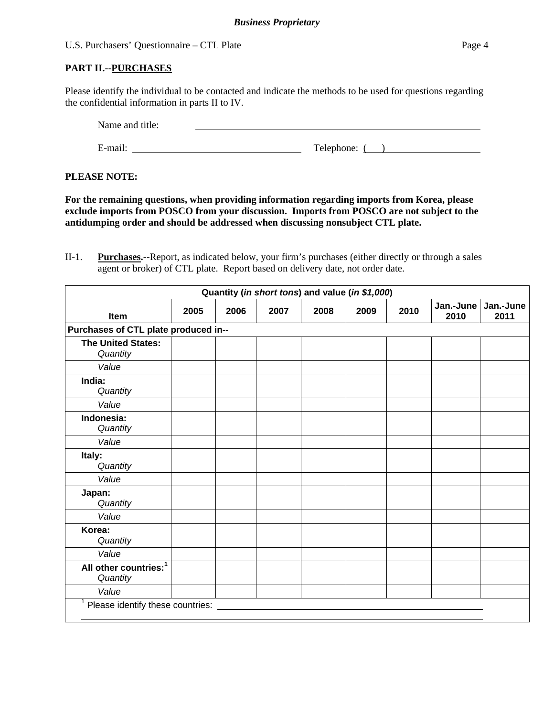Please identify the individual to be contacted and indicate the methods to be used for questions regarding the confidential information in parts II to IV.

Name and title: E-mail: Telephone: ( )

## **PLEASE NOTE:**

**For the remaining questions, when providing information regarding imports from Korea, please exclude imports from POSCO from your discussion. Imports from POSCO are not subject to the antidumping order and should be addressed when discussing nonsubject CTL plate.** 

II-1. **Purchases.--**Report, as indicated below, your firm's purchases (either directly or through a sales agent or broker) of CTL plate. Report based on delivery date, not order date.

| Quantity (in short tons) and value (in \$1,000) |      |      |      |      |      |      |                   |                   |
|-------------------------------------------------|------|------|------|------|------|------|-------------------|-------------------|
| <b>Item</b>                                     | 2005 | 2006 | 2007 | 2008 | 2009 | 2010 | Jan.-June<br>2010 | Jan.-June<br>2011 |
| Purchases of CTL plate produced in--            |      |      |      |      |      |      |                   |                   |
| <b>The United States:</b><br>Quantity           |      |      |      |      |      |      |                   |                   |
| Value                                           |      |      |      |      |      |      |                   |                   |
| India:<br>Quantity                              |      |      |      |      |      |      |                   |                   |
| Value                                           |      |      |      |      |      |      |                   |                   |
| Indonesia:<br>Quantity                          |      |      |      |      |      |      |                   |                   |
| Value                                           |      |      |      |      |      |      |                   |                   |
| Italy:<br>Quantity                              |      |      |      |      |      |      |                   |                   |
| Value                                           |      |      |      |      |      |      |                   |                   |
| Japan:<br>Quantity                              |      |      |      |      |      |      |                   |                   |
| Value                                           |      |      |      |      |      |      |                   |                   |
| Korea:<br>Quantity                              |      |      |      |      |      |      |                   |                   |
| Value                                           |      |      |      |      |      |      |                   |                   |
| All other countries: <sup>1</sup><br>Quantity   |      |      |      |      |      |      |                   |                   |
| Value                                           |      |      |      |      |      |      |                   |                   |
| 1<br>Please identify these countries:           |      |      |      |      |      |      |                   |                   |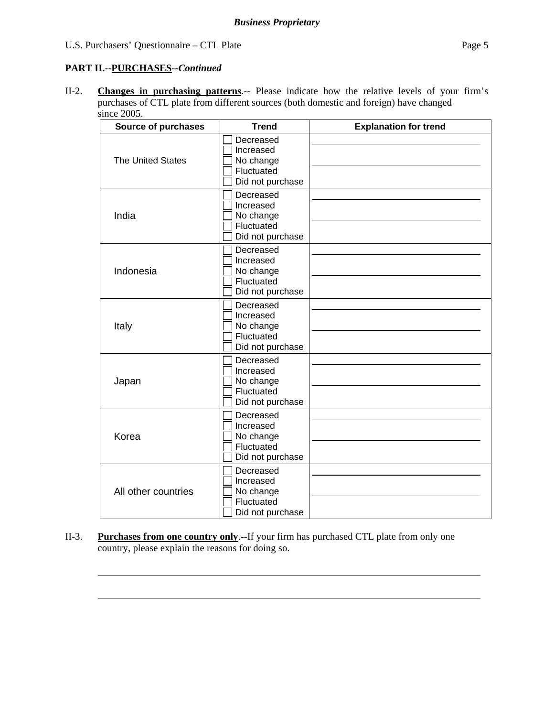# **PART II.--PURCHASES***--Continued*

l

l

II-2. **Changes in purchasing patterns.--** Please indicate how the relative levels of your firm's purchases of CTL plate from different sources (both domestic and foreign) have changed since 2005.

| <b>Source of purchases</b> | <b>Trend</b>                                                          | <b>Explanation for trend</b> |
|----------------------------|-----------------------------------------------------------------------|------------------------------|
| <b>The United States</b>   | Decreased<br>Increased<br>No change<br>Fluctuated<br>Did not purchase |                              |
| India                      | Decreased<br>Increased<br>No change<br>Fluctuated<br>Did not purchase |                              |
| Indonesia                  | Decreased<br>Increased<br>No change<br>Fluctuated<br>Did not purchase |                              |
| Italy                      | Decreased<br>Increased<br>No change<br>Fluctuated<br>Did not purchase |                              |
| Japan                      | Decreased<br>Increased<br>No change<br>Fluctuated<br>Did not purchase |                              |
| Korea                      | Decreased<br>Increased<br>No change<br>Fluctuated<br>Did not purchase |                              |
| All other countries        | Decreased<br>Increased<br>No change<br>Fluctuated<br>Did not purchase |                              |

II-3. **Purchases from one country only**.--If your firm has purchased CTL plate from only one country, please explain the reasons for doing so.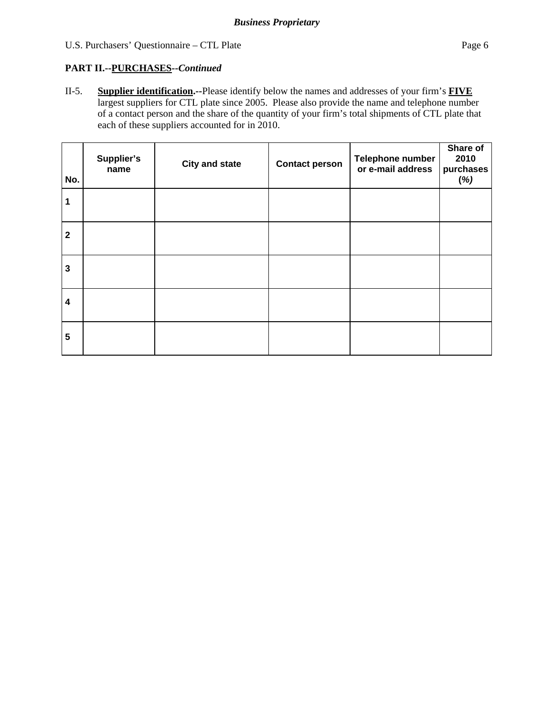# **PART II.--PURCHASES***--Continued*

II-5. **Supplier identification.--**Please identify below the names and addresses of your firm's **FIVE** largest suppliers for CTL plate since 2005. Please also provide the name and telephone number of a contact person and the share of the quantity of your firm's total shipments of CTL plate that each of these suppliers accounted for in 2010.

| No.                     | Supplier's<br>name | <b>City and state</b> | <b>Contact person</b> | Telephone number<br>or e-mail address | Share of<br>2010<br>purchases<br>(%) |
|-------------------------|--------------------|-----------------------|-----------------------|---------------------------------------|--------------------------------------|
| $\mathbf 1$             |                    |                       |                       |                                       |                                      |
| $\overline{\mathbf{2}}$ |                    |                       |                       |                                       |                                      |
| $\mathbf{3}$            |                    |                       |                       |                                       |                                      |
| $\overline{\mathbf{4}}$ |                    |                       |                       |                                       |                                      |
| $5\phantom{.0}$         |                    |                       |                       |                                       |                                      |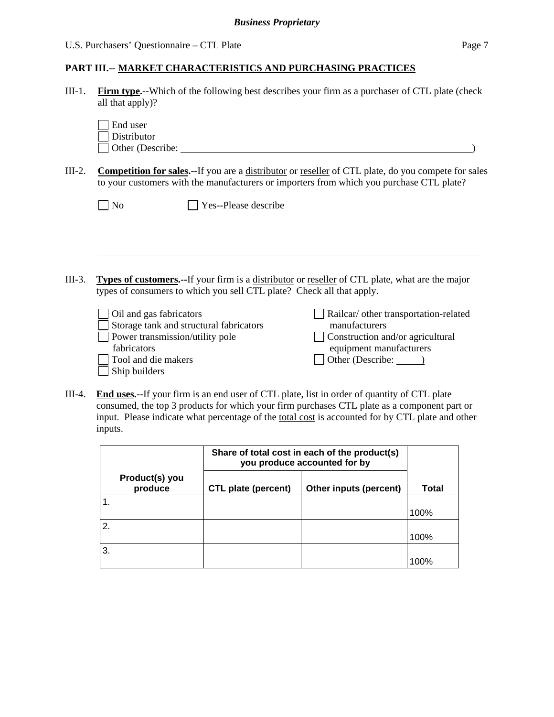#### **PART III.-- MARKET CHARACTERISTICS AND PURCHASING PRACTICES**

III-1. **Firm type.--**Which of the following best describes your firm as a purchaser of CTL plate (check all that apply)?

| End user         |  |
|------------------|--|
| Distributor      |  |
| Other (Describe: |  |

III-2. **Competition for sales.--**If you are a distributor or reseller of CTL plate, do you compete for sales to your customers with the manufacturers or importers from which you purchase CTL plate?

|        |                                                                                                                   | Yes--Please describe                                                  |                                                                                                                                           |
|--------|-------------------------------------------------------------------------------------------------------------------|-----------------------------------------------------------------------|-------------------------------------------------------------------------------------------------------------------------------------------|
|        |                                                                                                                   |                                                                       |                                                                                                                                           |
| III-3. |                                                                                                                   | types of consumers to which you sell CTL plate? Check all that apply. | <b>Types of customers.</b> --If your firm is a distributor or reseller of CTL plate, what are the major                                   |
|        | Oil and gas fabricators<br>Power transmission/utility pole<br>fabricators<br>Tool and die makers<br>Ship builders | Storage tank and structural fabricators                               | Railcar/ other transportation-related<br>manufacturers<br>Construction and/or agricultural<br>equipment manufacturers<br>Other (Describe: |

III-4. **End uses.--**If your firm is an end user of CTL plate, list in order of quantity of CTL plate consumed, the top 3 products for which your firm purchases CTL plate as a component part or input. Please indicate what percentage of the total cost is accounted for by CTL plate and other inputs.

|              |                           | Share of total cost in each of the product(s)<br>you produce accounted for by |                        |       |
|--------------|---------------------------|-------------------------------------------------------------------------------|------------------------|-------|
|              | Product(s) you<br>produce | CTL plate (percent)                                                           | Other inputs (percent) | Total |
|              |                           |                                                                               |                        | 100%  |
| $\mathbf{2}$ |                           |                                                                               |                        | 100%  |
| 3.           |                           |                                                                               |                        | 100%  |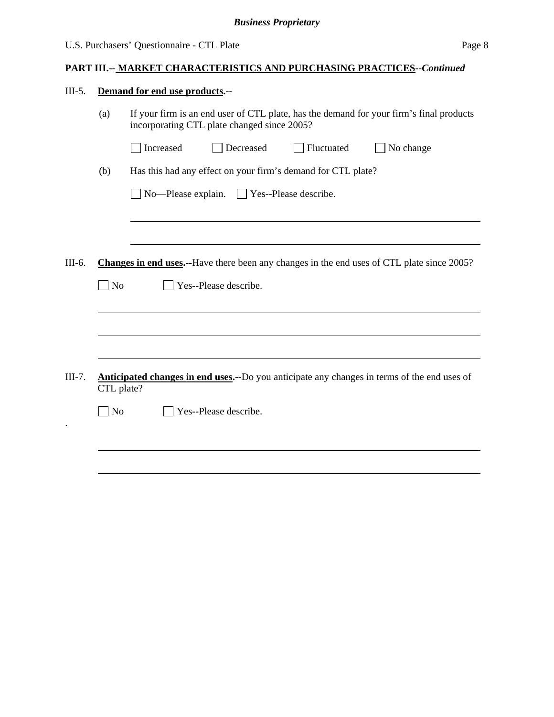# **PART III.-- MARKET CHARACTERISTICS AND PURCHASING PRACTICES***--Continued*

| $III-5.$ |                                                                                                                   | Demand for end use products.--                                                                                                         |  |  |  |  |  |  |
|----------|-------------------------------------------------------------------------------------------------------------------|----------------------------------------------------------------------------------------------------------------------------------------|--|--|--|--|--|--|
|          | (a)                                                                                                               | If your firm is an end user of CTL plate, has the demand for your firm's final products<br>incorporating CTL plate changed since 2005? |  |  |  |  |  |  |
|          |                                                                                                                   | Increased<br>Decreased<br>Fluctuated<br>No change                                                                                      |  |  |  |  |  |  |
|          | (b)                                                                                                               | Has this had any effect on your firm's demand for CTL plate?                                                                           |  |  |  |  |  |  |
|          |                                                                                                                   | $\Box$ No-Please explain. $\Box$ Yes--Please describe.                                                                                 |  |  |  |  |  |  |
|          |                                                                                                                   |                                                                                                                                        |  |  |  |  |  |  |
| III-6.   |                                                                                                                   | Changes in end uses.--Have there been any changes in the end uses of CTL plate since 2005?                                             |  |  |  |  |  |  |
|          | $\exists$ No                                                                                                      | Yes--Please describe.                                                                                                                  |  |  |  |  |  |  |
|          |                                                                                                                   |                                                                                                                                        |  |  |  |  |  |  |
|          |                                                                                                                   |                                                                                                                                        |  |  |  |  |  |  |
| $III-7.$ | <b>Anticipated changes in end uses.</b> --Do you anticipate any changes in terms of the end uses of<br>CTL plate? |                                                                                                                                        |  |  |  |  |  |  |
|          | N <sub>o</sub>                                                                                                    | Yes--Please describe.                                                                                                                  |  |  |  |  |  |  |
|          |                                                                                                                   |                                                                                                                                        |  |  |  |  |  |  |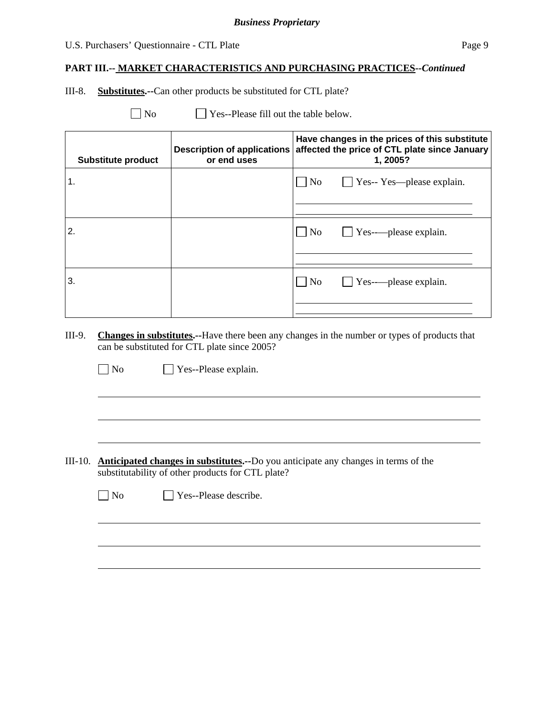### U.S. Purchasers' Questionnaire - CTL Plate Page 9

#### **PART III.-- MARKET CHARACTERISTICS AND PURCHASING PRACTICES***--Continued*

III-8. **Substitutes.--**Can other products be substituted for CTL plate?

 $\Box$  No  $\Box$  Yes--Please fill out the table below.

| <b>Substitute product</b> | <b>Description of applications</b><br>or end uses | Have changes in the prices of this substitute<br>affected the price of CTL plate since January<br>1,2005? |
|---------------------------|---------------------------------------------------|-----------------------------------------------------------------------------------------------------------|
| 1.                        |                                                   | $\Box$ No $\Box$ Yes-- Yes—please explain.                                                                |
| 2.                        |                                                   | $\Box$ No $\Box$ Yes------please explain.                                                                 |
| 3.                        |                                                   | $\Box$ Yes--------please explain.<br>No                                                                   |

III-9. **Changes in substitutes.--**Have there been any changes in the number or types of products that can be substituted for CTL plate since 2005?

No Yes--Please explain.

 $\overline{a}$ 

 $\overline{a}$ 

III-10. **Anticipated changes in substitutes.--**Do you anticipate any changes in terms of the substitutability of other products for CTL plate?

| $\Box$ No | $\Box$ Yes--Please describe. |
|-----------|------------------------------|
|-----------|------------------------------|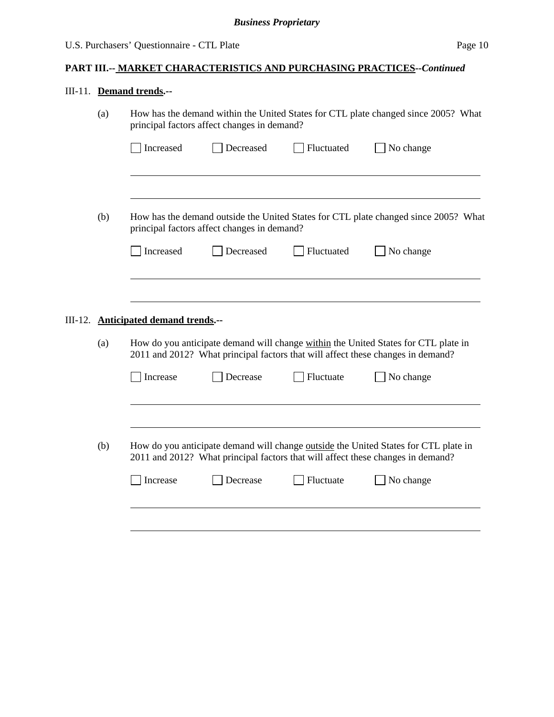# III-11. **Demand trends.--**

| How has the demand within the United States for CTL plate changed since 2005? What<br>(a)<br>principal factors affect changes in demand? |     |                                      |                                             |            |                                                                                                                                                                        |
|------------------------------------------------------------------------------------------------------------------------------------------|-----|--------------------------------------|---------------------------------------------|------------|------------------------------------------------------------------------------------------------------------------------------------------------------------------------|
|                                                                                                                                          |     | Increased                            | Decreased                                   | Fluctuated | No change                                                                                                                                                              |
|                                                                                                                                          | (b) |                                      |                                             |            | How has the demand outside the United States for CTL plate changed since 2005? What                                                                                    |
|                                                                                                                                          |     |                                      | principal factors affect changes in demand? |            |                                                                                                                                                                        |
|                                                                                                                                          |     | Increased                            | Decreased                                   | Fluctuated | No change                                                                                                                                                              |
|                                                                                                                                          |     |                                      |                                             |            |                                                                                                                                                                        |
|                                                                                                                                          |     | III-12. Anticipated demand trends.-- |                                             |            |                                                                                                                                                                        |
|                                                                                                                                          | (a) |                                      |                                             |            | How do you anticipate demand will change within the United States for CTL plate in<br>2011 and 2012? What principal factors that will affect these changes in demand?  |
|                                                                                                                                          |     | Increase                             | Decrease                                    | Fluctuate  | No change                                                                                                                                                              |
|                                                                                                                                          |     |                                      |                                             |            |                                                                                                                                                                        |
|                                                                                                                                          | (b) |                                      |                                             |            | How do you anticipate demand will change outside the United States for CTL plate in<br>2011 and 2012? What principal factors that will affect these changes in demand? |
|                                                                                                                                          |     | Increase                             | Decrease                                    | Fluctuate  | No change                                                                                                                                                              |
|                                                                                                                                          |     |                                      |                                             |            |                                                                                                                                                                        |
|                                                                                                                                          |     |                                      |                                             |            |                                                                                                                                                                        |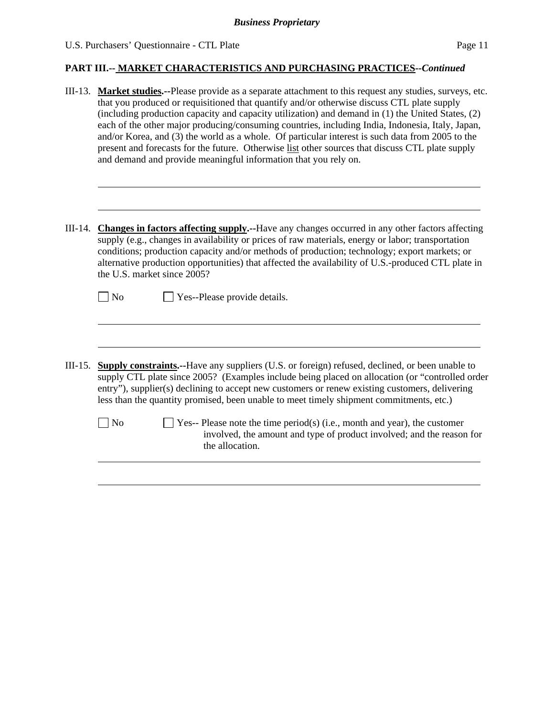|  |  | U.S. Purchasers' Questionnaire - CTL Plate | Page 11 |
|--|--|--------------------------------------------|---------|
|--|--|--------------------------------------------|---------|

|           | III-13. Market studies.--Please provide as a separate attachment to this request any studies, surveys, etc.<br>that you produced or requisitioned that quantify and/or otherwise discuss CTL plate supply<br>(including production capacity and capacity utilization) and demand in (1) the United States, (2)<br>each of the other major producing/consuming countries, including India, Indonesia, Italy, Japan,<br>and/or Korea, and (3) the world as a whole. Of particular interest is such data from 2005 to the<br>present and forecasts for the future. Otherwise list other sources that discuss CTL plate supply<br>and demand and provide meaningful information that you rely on. |
|-----------|-----------------------------------------------------------------------------------------------------------------------------------------------------------------------------------------------------------------------------------------------------------------------------------------------------------------------------------------------------------------------------------------------------------------------------------------------------------------------------------------------------------------------------------------------------------------------------------------------------------------------------------------------------------------------------------------------|
| III-14.   | Changes in factors affecting supply.--Have any changes occurred in any other factors affecting<br>supply (e.g., changes in availability or prices of raw materials, energy or labor; transportation<br>conditions; production capacity and/or methods of production; technology; export markets; or<br>alternative production opportunities) that affected the availability of U.S.-produced CTL plate in<br>the U.S. market since 2005?<br>$\sqrt{\phantom{a}}$ No<br>Yes--Please provide details.                                                                                                                                                                                           |
| $III-15.$ | <b>Supply constraints.</b> --Have any suppliers (U.S. or foreign) refused, declined, or been unable to<br>supply CTL plate since 2005? (Examples include being placed on allocation (or "controlled order<br>entry"), supplier(s) declining to accept new customers or renew existing customers, delivering<br>less than the quantity promised, been unable to meet timely shipment commitments, etc.)<br>$\rfloor$ No<br>$\blacksquare$ Yes-- Please note the time period(s) (i.e., month and year), the customer<br>involved, the amount and type of product involved; and the reason for<br>the allocation.                                                                                |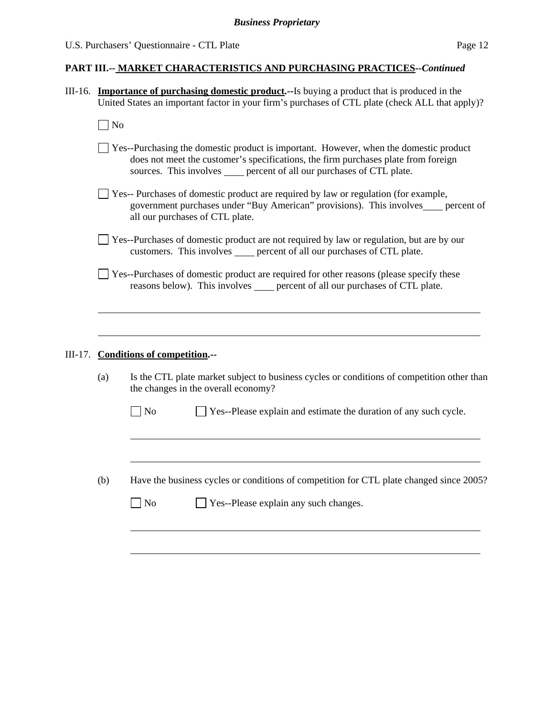- III-16. **Importance of purchasing domestic product.--**Is buying a product that is produced in the United States an important factor in your firm's purchases of CTL plate (check ALL that apply)?
	- $\Box$  No

l

- Yes--Purchasing the domestic product is important. However, when the domestic product does not meet the customer's specifications, the firm purchases plate from foreign sources. This involves percent of all our purchases of CTL plate.
- Yes-- Purchases of domestic product are required by law or regulation (for example, government purchases under "Buy American" provisions). This involves percent of all our purchases of CTL plate.
- Yes--Purchases of domestic product are not required by law or regulation, but are by our customers. This involves percent of all our purchases of CTL plate.
- Yes--Purchases of domestic product are required for other reasons (please specify these reasons below). This involves percent of all our purchases of CTL plate.

#### III-17. **Conditions of competition.--**

|                | Is the CTL plate market subject to business cycles or conditions of competition other than<br>the changes in the overall economy? |
|----------------|-----------------------------------------------------------------------------------------------------------------------------------|
| N <sub>o</sub> | Yes--Please explain and estimate the duration of any such cycle.                                                                  |
|                |                                                                                                                                   |
|                |                                                                                                                                   |
|                | Have the business cycles or conditions of competition for CTL plate changed since 2005?                                           |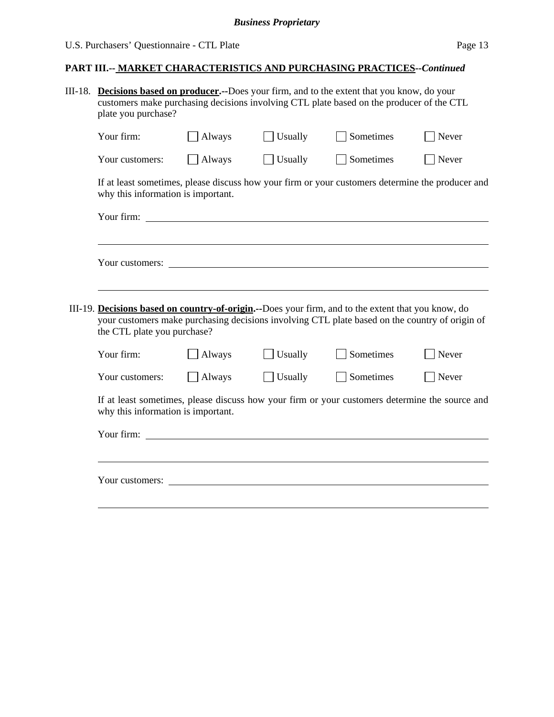# **PART III.-- MARKET CHARACTERISTICS AND PURCHASING PRACTICES***--Continued*

| III-18. | <b>Decisions based on producer.</b> --Does your firm, and to the extent that you know, do your<br>customers make purchasing decisions involving CTL plate based on the producer of the CTL<br>plate you purchase?                    |               |         |                                                                                                                                                                                                      |       |  |  |
|---------|--------------------------------------------------------------------------------------------------------------------------------------------------------------------------------------------------------------------------------------|---------------|---------|------------------------------------------------------------------------------------------------------------------------------------------------------------------------------------------------------|-------|--|--|
|         | Your firm:                                                                                                                                                                                                                           | Always        | Usually | Sometimes                                                                                                                                                                                            | Never |  |  |
|         | Your customers:                                                                                                                                                                                                                      | $\Box$ Always | Usually | Sometimes                                                                                                                                                                                            | Never |  |  |
|         | why this information is important.                                                                                                                                                                                                   |               |         | If at least sometimes, please discuss how your firm or your customers determine the producer and                                                                                                     |       |  |  |
|         |                                                                                                                                                                                                                                      |               |         |                                                                                                                                                                                                      |       |  |  |
|         |                                                                                                                                                                                                                                      |               |         |                                                                                                                                                                                                      |       |  |  |
|         | Your customers:                                                                                                                                                                                                                      |               |         |                                                                                                                                                                                                      |       |  |  |
|         |                                                                                                                                                                                                                                      |               |         |                                                                                                                                                                                                      |       |  |  |
|         | the CTL plate you purchase?                                                                                                                                                                                                          |               |         | III-19. Decisions based on country-of-origin.--Does your firm, and to the extent that you know, do<br>your customers make purchasing decisions involving CTL plate based on the country of origin of |       |  |  |
|         | Your firm:                                                                                                                                                                                                                           | Always        | Usually | Sometimes                                                                                                                                                                                            | Never |  |  |
|         | Your customers:                                                                                                                                                                                                                      | $\Box$ Always | Usually | Sometimes                                                                                                                                                                                            | Never |  |  |
|         | why this information is important.                                                                                                                                                                                                   |               |         | If at least sometimes, please discuss how your firm or your customers determine the source and                                                                                                       |       |  |  |
|         | Your firm: <u>contract the contract of the contract of the contract of the contract of the contract of the contract of the contract of the contract of the contract of the contract of the contract of the contract of the contr</u> |               |         |                                                                                                                                                                                                      |       |  |  |
|         |                                                                                                                                                                                                                                      |               |         |                                                                                                                                                                                                      |       |  |  |
|         | Your customers:                                                                                                                                                                                                                      |               |         | <u> 1989 - Johann Harry Harry Harry Harry Harry Harry Harry Harry Harry Harry Harry Harry Harry Harry Harry Harry</u>                                                                                |       |  |  |
|         |                                                                                                                                                                                                                                      |               |         |                                                                                                                                                                                                      |       |  |  |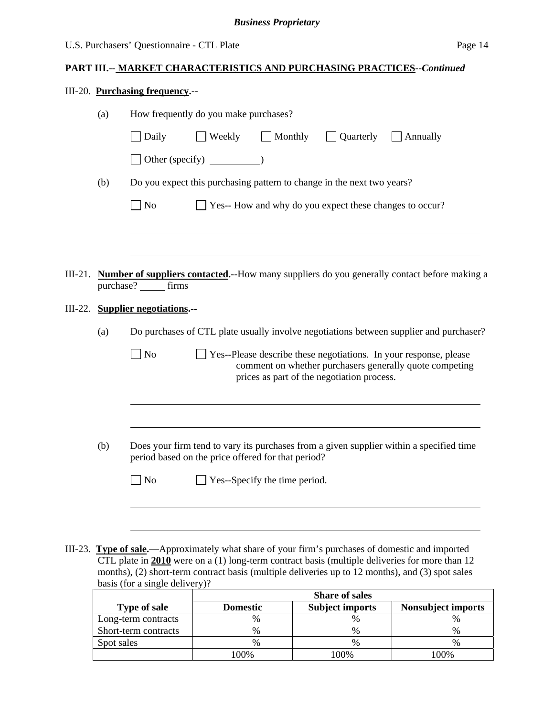### **PART III.-- MARKET CHARACTERISTICS AND PURCHASING PRACTICES***--Continued*

|  | III-20. Purchasing frequency.-- |
|--|---------------------------------|
|--|---------------------------------|

|         | (a)                                                                                                                                                  | How frequently do you make purchases?                                                                                                                                                        |  |  |
|---------|------------------------------------------------------------------------------------------------------------------------------------------------------|----------------------------------------------------------------------------------------------------------------------------------------------------------------------------------------------|--|--|
|         |                                                                                                                                                      | $\Box$ Weekly $\Box$ Monthly<br>Daily<br><b>Quarterly</b><br>$\Box$ Annually                                                                                                                 |  |  |
|         |                                                                                                                                                      | Other (specify) $\qquad \qquad$                                                                                                                                                              |  |  |
|         | (b)                                                                                                                                                  | Do you expect this purchasing pattern to change in the next two years?                                                                                                                       |  |  |
|         |                                                                                                                                                      | $\log$<br>Yes-- How and why do you expect these changes to occur?                                                                                                                            |  |  |
|         |                                                                                                                                                      |                                                                                                                                                                                              |  |  |
| III-21. |                                                                                                                                                      | Number of suppliers contacted.--How many suppliers do you generally contact before making a<br>purchase? ______ firms                                                                        |  |  |
| III-22. |                                                                                                                                                      | <b>Supplier negotiations.--</b>                                                                                                                                                              |  |  |
|         | (a)                                                                                                                                                  | Do purchases of CTL plate usually involve negotiations between supplier and purchaser?                                                                                                       |  |  |
|         |                                                                                                                                                      | N <sub>o</sub><br>Yes--Please describe these negotiations. In your response, please<br>comment on whether purchasers generally quote competing<br>prices as part of the negotiation process. |  |  |
|         |                                                                                                                                                      |                                                                                                                                                                                              |  |  |
|         | (b)<br>Does your firm tend to vary its purchases from a given supplier within a specified time<br>period based on the price offered for that period? |                                                                                                                                                                                              |  |  |
|         |                                                                                                                                                      | Yes--Specify the time period.<br>No                                                                                                                                                          |  |  |
|         |                                                                                                                                                      |                                                                                                                                                                                              |  |  |

III-23. **Type of sale.—**Approximately what share of your firm's purchases of domestic and imported CTL plate in **2010** were on a (1) long-term contract basis (multiple deliveries for more than 12 months), (2) short-term contract basis (multiple deliveries up to 12 months), and (3) spot sales basis (for a single delivery)?

|                      | <b>Share of sales</b> |                        |                           |
|----------------------|-----------------------|------------------------|---------------------------|
| <b>Type of sale</b>  | <b>Domestic</b>       | <b>Subject imports</b> | <b>Nonsubject imports</b> |
| Long-term contracts  | $\%$                  |                        |                           |
| Short-term contracts | $\%$                  | %                      | %                         |
| Spot sales           | $\%$                  | $\frac{0}{0}$          | $\frac{0}{0}$             |
|                      | 00%                   | 100%                   | 100%                      |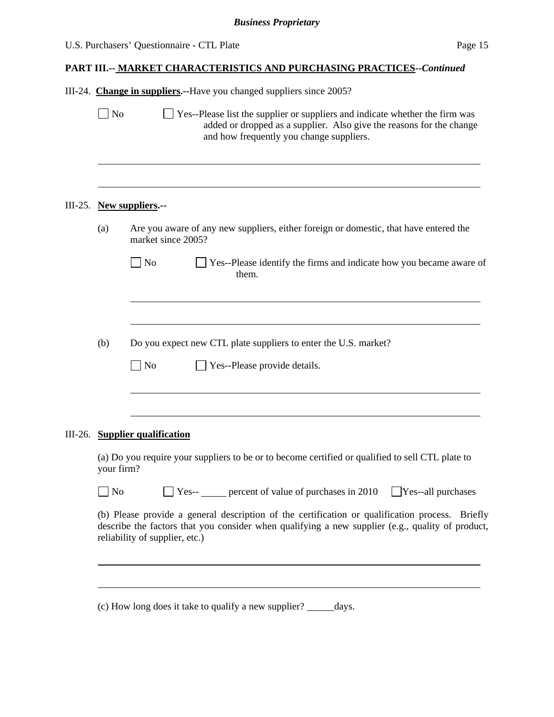| U.S. Purchasers' Questionnaire - CTL Plate | Page 15 |
|--------------------------------------------|---------|
|--------------------------------------------|---------|

|  |  | III-24. Change in suppliers.--Have you changed suppliers since 2005? |  |  |  |
|--|--|----------------------------------------------------------------------|--|--|--|
|--|--|----------------------------------------------------------------------|--|--|--|

 $\Box$  No  $\Box$  Yes--Please list the supplier or suppliers and indicate whether the firm was added or dropped as a supplier. Also give the reasons for the change and how frequently you change suppliers. l III-25. **New suppliers.--**  (a) Are you aware of any new suppliers, either foreign or domestic, that have entered the market since 2005? No Ses--Please identify the firms and indicate how you became aware of them. l (b) Do you expect new CTL plate suppliers to enter the U.S. market?  $\neg$  No  $\neg$  Yes--Please provide details.  $\overline{a}$ III-26. **Supplier qualification**  (a) Do you require your suppliers to be or to become certified or qualified to sell CTL plate to your firm? No Ses-- percent of value of purchases in 2010 Yes--all purchases (b) Please provide a general description of the certification or qualification process. Briefly describe the factors that you consider when qualifying a new supplier (e.g., quality of product, reliability of supplier, etc.) l

(c) How long does it take to qualify a new supplier?  $\_\_\_\_\_\_\$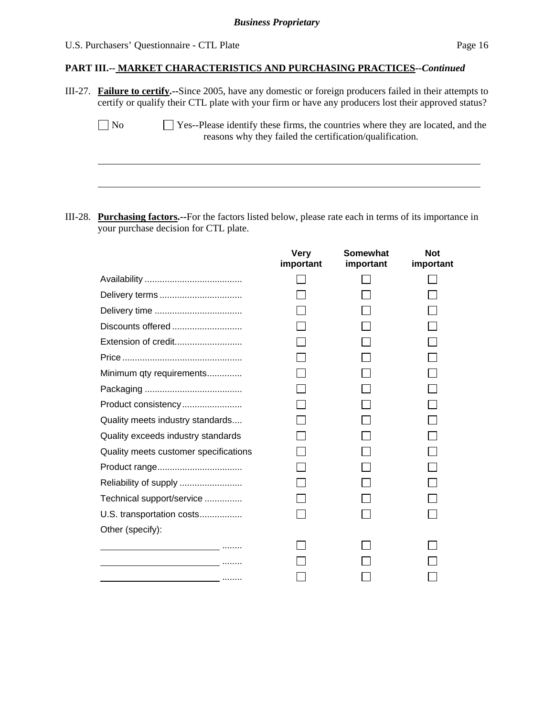### U.S. Purchasers' Questionnaire - CTL Plate Page 16

l

#### **PART III.-- MARKET CHARACTERISTICS AND PURCHASING PRACTICES***--Continued*

III-27. **Failure to certify.--**Since 2005, have any domestic or foreign producers failed in their attempts to certify or qualify their CTL plate with your firm or have any producers lost their approved status?

| No | $\Box$ Yes--Please identify these firms, the countries where they are located, and the |
|----|----------------------------------------------------------------------------------------|
|    | reasons why they failed the certification/qualification.                               |

III-28. **Purchasing factors.--**For the factors listed below, please rate each in terms of its importance in your purchase decision for CTL plate.

|                                                                                 | <b>Very</b><br>important | <b>Somewhat</b><br>important | <b>Not</b><br>important |
|---------------------------------------------------------------------------------|--------------------------|------------------------------|-------------------------|
|                                                                                 |                          |                              |                         |
|                                                                                 |                          |                              |                         |
|                                                                                 |                          |                              |                         |
| Discounts offered                                                               |                          |                              |                         |
| Extension of credit                                                             |                          |                              |                         |
|                                                                                 |                          |                              |                         |
| Minimum qty requirements                                                        |                          |                              |                         |
|                                                                                 |                          |                              |                         |
| Product consistency                                                             |                          |                              |                         |
| Quality meets industry standards                                                |                          |                              |                         |
| Quality exceeds industry standards                                              |                          |                              |                         |
| Quality meets customer specifications                                           |                          |                              |                         |
|                                                                                 |                          |                              |                         |
| Reliability of supply                                                           |                          |                              |                         |
| Technical support/service                                                       |                          |                              |                         |
| U.S. transportation costs                                                       |                          |                              |                         |
| Other (specify):                                                                |                          |                              |                         |
| the contract of the contract of the contract of the contract of the contract of |                          |                              |                         |
|                                                                                 |                          |                              |                         |
| .                                                                               |                          |                              |                         |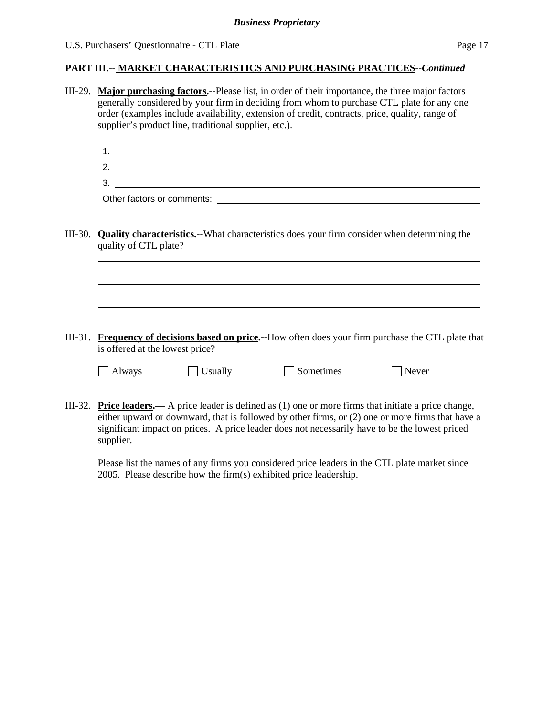#### **PART III.-- MARKET CHARACTERISTICS AND PURCHASING PRACTICES***--Continued*

- III-29. **Major purchasing factors.--**Please list, in order of their importance, the three major factors generally considered by your firm in deciding from whom to purchase CTL plate for any one order (examples include availability, extension of credit, contracts, price, quality, range of supplier's product line, traditional supplier, etc.).
	- 1. 2.
	- 3.

Other factors or comments:  $\blacksquare$ 

III-30. **Quality characteristics.--**What characteristics does your firm consider when determining the quality of CTL plate?

III-31. **Frequency of decisions based on price.--**How often does your firm purchase the CTL plate that is offered at the lowest price?

|  | <b>Always</b> |
|--|---------------|
|--|---------------|

l

l

 $\Box$  Usually  $\Box$  Sometimes  $\Box$  Never

III-32. **Price leaders.—** A price leader is defined as (1) one or more firms that initiate a price change, either upward or downward, that is followed by other firms, or (2) one or more firms that have a significant impact on prices. A price leader does not necessarily have to be the lowest priced supplier.

Please list the names of any firms you considered price leaders in the CTL plate market since 2005. Please describe how the firm(s) exhibited price leadership.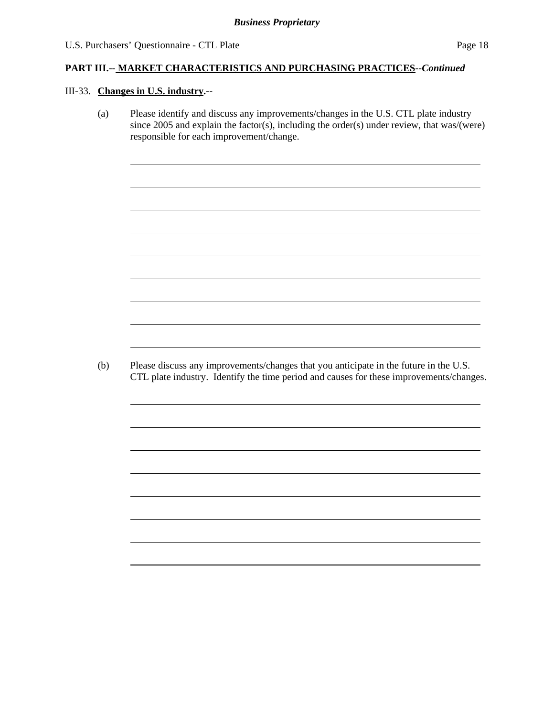#### III-33. **Changes in U.S. industry.--**

l

l

(a) Please identify and discuss any improvements/changes in the U.S. CTL plate industry since 2005 and explain the factor(s), including the order(s) under review, that was/(were) responsible for each improvement/change.

(b) Please discuss any improvements/changes that you anticipate in the future in the U.S. CTL plate industry. Identify the time period and causes for these improvements/changes.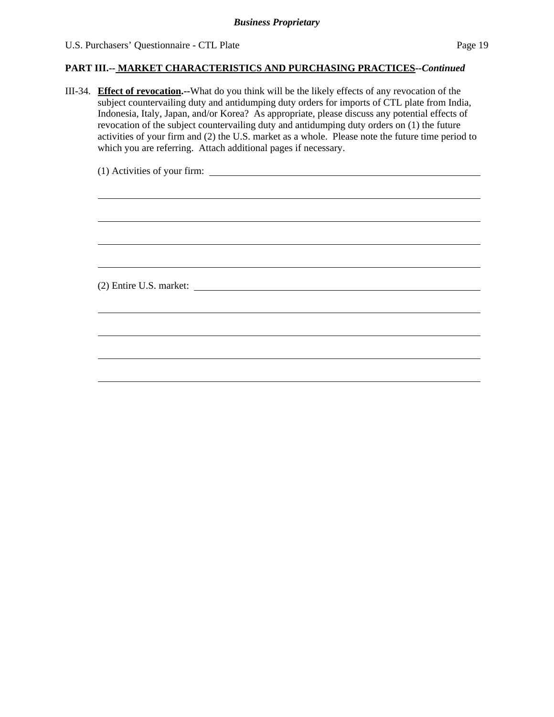III-34. **Effect of revocation.--**What do you think will be the likely effects of any revocation of the subject countervailing duty and antidumping duty orders for imports of CTL plate from India, Indonesia, Italy, Japan, and/or Korea? As appropriate, please discuss any potential effects of revocation of the subject countervailing duty and antidumping duty orders on (1) the future activities of your firm and (2) the U.S. market as a whole. Please note the future time period to which you are referring. Attach additional pages if necessary.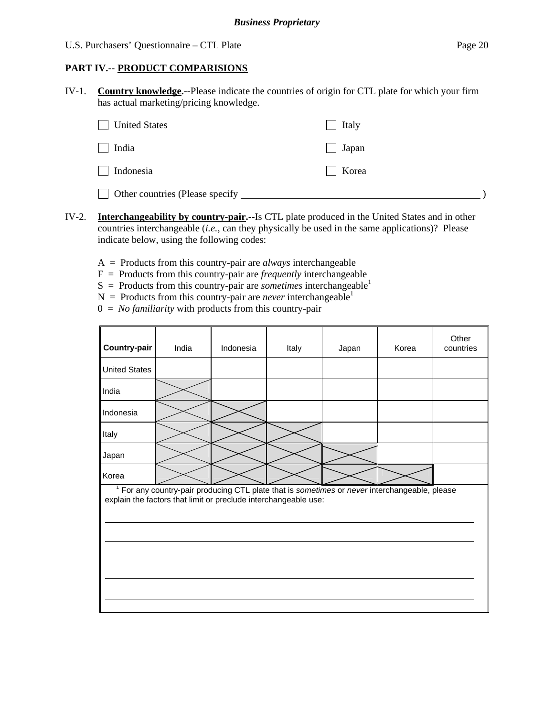#### **PART IV.-- PRODUCT COMPARISIONS**

IV-1. **Country knowledge.--**Please indicate the countries of origin for CTL plate for which your firm has actual marketing/pricing knowledge.

| <b>United States</b>            | $\Box$ Italy |  |
|---------------------------------|--------------|--|
| $\Box$ India                    | $\Box$ Japan |  |
| $\Box$ Indonesia                | Korea        |  |
| Other countries (Please specify |              |  |

- IV-2. **Interchangeability by country-pair.--**Is CTL plate produced in the United States and in other countries interchangeable (*i.e.*, can they physically be used in the same applications)? Please indicate below, using the following codes:
	- A = Products from this country-pair are *always* interchangeable
	- $F =$  Products from this country-pair are *frequently* interchangeable
	- $S =$  Products from this country-pair are *sometimes* interchangeable<sup>1</sup>
	- $N =$  Products from this country-pair are *never* interchangeable<sup>1</sup>
	- 0 = *No familiarity* with products from this country-pair

| Country-pair                                                                                                                                                   | India | Indonesia | Italy | Japan | Korea | Other<br>countries |  |  |  |  |
|----------------------------------------------------------------------------------------------------------------------------------------------------------------|-------|-----------|-------|-------|-------|--------------------|--|--|--|--|
| <b>United States</b>                                                                                                                                           |       |           |       |       |       |                    |  |  |  |  |
| India                                                                                                                                                          |       |           |       |       |       |                    |  |  |  |  |
| Indonesia                                                                                                                                                      |       |           |       |       |       |                    |  |  |  |  |
| Italy                                                                                                                                                          |       |           |       |       |       |                    |  |  |  |  |
| Japan                                                                                                                                                          |       |           |       |       |       |                    |  |  |  |  |
| Korea                                                                                                                                                          |       |           |       |       |       |                    |  |  |  |  |
| For any country-pair producing CTL plate that is sometimes or never interchangeable, please<br>explain the factors that limit or preclude interchangeable use: |       |           |       |       |       |                    |  |  |  |  |
|                                                                                                                                                                |       |           |       |       |       |                    |  |  |  |  |
|                                                                                                                                                                |       |           |       |       |       |                    |  |  |  |  |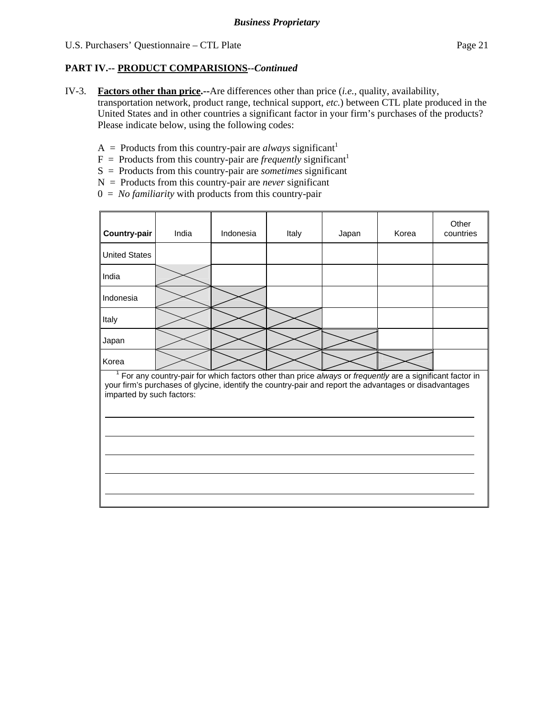IV-3. **Factors other than price.--**Are differences other than price (*i.e.*, quality, availability,

transportation network, product range, technical support, *etc.*) between CTL plate produced in the United States and in other countries a significant factor in your firm's purchases of the products? Please indicate below, using the following codes:

- $A =$  Products from this country-pair are *always* significant<sup>1</sup>
- $F =$  Products from this country-pair are *frequently* significant<sup>1</sup>
- S = Products from this country-pair are *sometimes* significant
- N = Products from this country-pair are *never* significant
- 0 = *No familiarity* with products from this country-pair

| Country-pair                                                                                                                                                                                                                                        | India | Indonesia | Italy | Japan | Korea | Other<br>countries |  |  |  |  |
|-----------------------------------------------------------------------------------------------------------------------------------------------------------------------------------------------------------------------------------------------------|-------|-----------|-------|-------|-------|--------------------|--|--|--|--|
| <b>United States</b>                                                                                                                                                                                                                                |       |           |       |       |       |                    |  |  |  |  |
| India                                                                                                                                                                                                                                               |       |           |       |       |       |                    |  |  |  |  |
| Indonesia                                                                                                                                                                                                                                           |       |           |       |       |       |                    |  |  |  |  |
| Italy                                                                                                                                                                                                                                               |       |           |       |       |       |                    |  |  |  |  |
| Japan                                                                                                                                                                                                                                               |       |           |       |       |       |                    |  |  |  |  |
| Korea                                                                                                                                                                                                                                               |       |           |       |       |       |                    |  |  |  |  |
| $1$ For any country-pair for which factors other than price always or frequently are a significant factor in<br>your firm's purchases of glycine, identify the country-pair and report the advantages or disadvantages<br>imparted by such factors: |       |           |       |       |       |                    |  |  |  |  |
|                                                                                                                                                                                                                                                     |       |           |       |       |       |                    |  |  |  |  |
|                                                                                                                                                                                                                                                     |       |           |       |       |       |                    |  |  |  |  |
|                                                                                                                                                                                                                                                     |       |           |       |       |       |                    |  |  |  |  |
|                                                                                                                                                                                                                                                     |       |           |       |       |       |                    |  |  |  |  |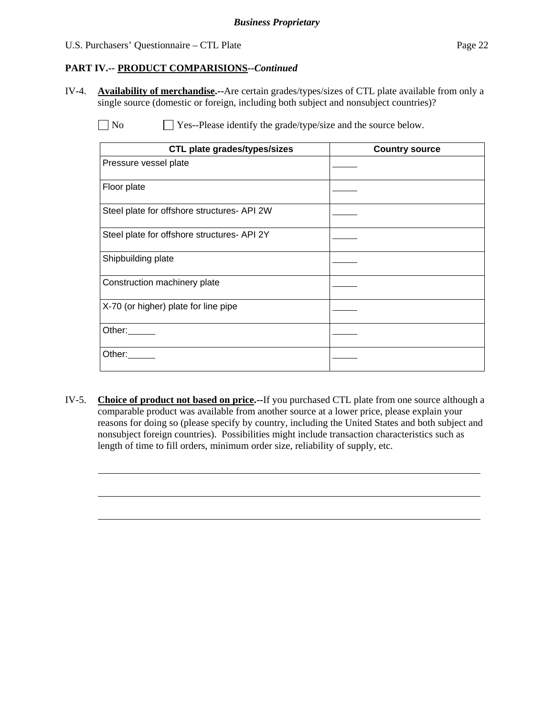l

# **PART IV.-- PRODUCT COMPARISIONS***--Continued*

IV-4. **Availability of merchandise.--**Are certain grades/types/sizes of CTL plate available from only a single source (domestic or foreign, including both subject and nonsubject countries)?

No  $\Box$  Yes--Please identify the grade/type/size and the source below.

| <b>CTL plate grades/types/sizes</b>         | <b>Country source</b> |
|---------------------------------------------|-----------------------|
| Pressure vessel plate                       |                       |
| Floor plate                                 |                       |
| Steel plate for offshore structures- API 2W |                       |
| Steel plate for offshore structures- API 2Y |                       |
| Shipbuilding plate                          |                       |
| Construction machinery plate                |                       |
| X-70 (or higher) plate for line pipe        |                       |
| Other:                                      |                       |
| Other:                                      |                       |

IV-5. **Choice of product not based on price.--**If you purchased CTL plate from one source although a comparable product was available from another source at a lower price, please explain your reasons for doing so (please specify by country, including the United States and both subject and nonsubject foreign countries). Possibilities might include transaction characteristics such as length of time to fill orders, minimum order size, reliability of supply, etc.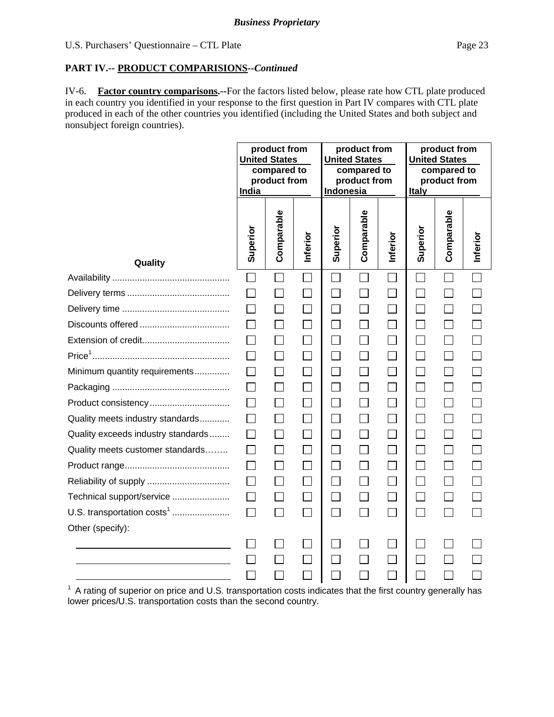IV-6. **Factor country comparisons.--**For the factors listed below, please rate how CTL plate produced in each country you identified in your response to the first question in Part IV compares with CTL plate produced in each of the other countries you identified (including the United States and both subject and nonsubject foreign countries).

|                                        | product from<br>product from<br><b>United States</b><br><b>United States</b><br>compared to<br>compared to<br>product from<br>product from<br>Indonesia<br>India |                          | product from<br><b>United States</b><br>compared to<br>product from<br><b>Italy</b> |                   |              |                |                |              |          |
|----------------------------------------|------------------------------------------------------------------------------------------------------------------------------------------------------------------|--------------------------|-------------------------------------------------------------------------------------|-------------------|--------------|----------------|----------------|--------------|----------|
| Quality                                | Superior                                                                                                                                                         | Comparable               | Inferior                                                                            | Superior          | Comparable   | Inferior       | Superior       | Comparable   | Inferior |
|                                        |                                                                                                                                                                  |                          |                                                                                     |                   | $\Box$       |                |                |              |          |
|                                        |                                                                                                                                                                  |                          | $\sim$                                                                              |                   |              |                |                |              |          |
|                                        | $\Box$                                                                                                                                                           | $\mathsf{L}$             | $\mathcal{L}$                                                                       | П                 |              | $\mathbb{R}^n$ |                |              |          |
|                                        |                                                                                                                                                                  | П                        | $\Box$                                                                              | $\Box$            |              |                |                |              |          |
|                                        |                                                                                                                                                                  | $\Box$                   | П                                                                                   | $\Box$            | $\mathsf{L}$ | $\Box$         |                |              |          |
|                                        | $\perp$                                                                                                                                                          | $\Box$                   | $\Box$                                                                              | $\Box$            | $\Box$       | П              | $\blacksquare$ | $\mathsf{L}$ |          |
| Minimum quantity requirements          |                                                                                                                                                                  | П                        | $\Box$                                                                              | $\Box$            | П            |                |                |              |          |
|                                        | $\perp$                                                                                                                                                          | $\Box$                   | $\vert \ \ \vert$                                                                   | $\vert \ \ \vert$ |              | $\Box$         |                |              |          |
| Product consistency                    | П                                                                                                                                                                | П                        | П                                                                                   | П                 | П            | $\Box$         | $\blacksquare$ | $\mathsf{L}$ |          |
| Quality meets industry standards       |                                                                                                                                                                  | $\Box$                   | $\Box$                                                                              | $\Box$            | $\Box$       |                |                |              |          |
| Quality exceeds industry standards     | $\mathsf{L}$                                                                                                                                                     | $\Box$                   | П                                                                                   | $\Box$            |              | $\Box$         |                |              |          |
| Quality meets customer standards       | $\mathsf{L}$                                                                                                                                                     | $\Box$                   | $\Box$                                                                              | $\Box$            | $\Box$       | $\Box$         | $\blacksquare$ |              |          |
|                                        | П                                                                                                                                                                | $\Box$                   | $\Box$                                                                              | $\Box$            | $\Box$       | $\Box$         |                |              |          |
|                                        | $\perp$                                                                                                                                                          | $\Box$                   | П                                                                                   | $\vert \ \ \vert$ |              | $\Box$         |                |              |          |
| Technical support/service              | $\Box$                                                                                                                                                           | $\Box$                   | П                                                                                   | $\Box$            | П            | П              | $\blacksquare$ |              |          |
| U.S. transportation costs <sup>1</sup> | $\Box$                                                                                                                                                           | П                        | $\Box$                                                                              | $\Box$            | $\mathbf{I}$ |                |                |              |          |
| Other (specify):                       |                                                                                                                                                                  |                          |                                                                                     |                   |              |                |                |              |          |
|                                        |                                                                                                                                                                  | $\overline{\phantom{a}}$ |                                                                                     |                   |              |                |                |              |          |
|                                        |                                                                                                                                                                  |                          |                                                                                     |                   |              |                |                |              |          |

<sup>1</sup> A rating of superior on price and U.S. transportation costs indicates that the first country generally has lower prices/U.S. transportation costs than the second country.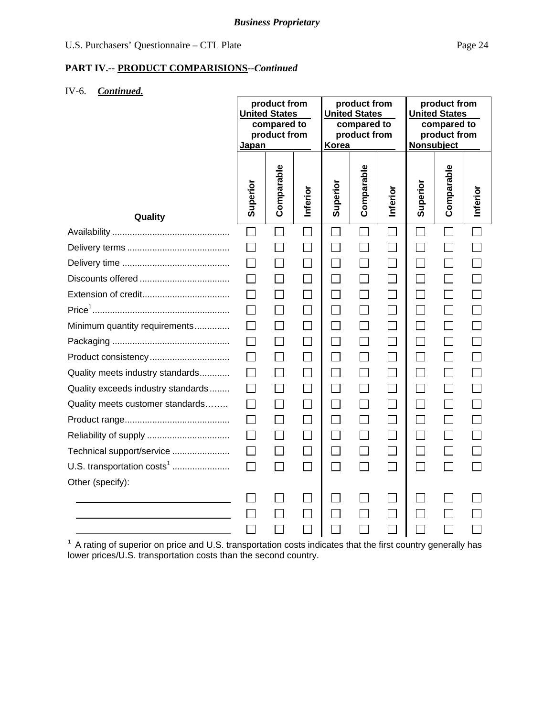### IV-6. *Continued.*

|                                        | Japan        | product from<br><b>United States</b><br>compared to<br>product from |              | product from<br><b>United States</b><br>compared to<br>product from<br>Korea |              | product from<br><b>United States</b><br>compared to<br>product from<br>Nonsubject |                |              |          |
|----------------------------------------|--------------|---------------------------------------------------------------------|--------------|------------------------------------------------------------------------------|--------------|-----------------------------------------------------------------------------------|----------------|--------------|----------|
| Quality                                | Superior     | Comparable                                                          | Inferior     | Superior                                                                     | Comparable   | Inferior                                                                          | Superior       | Comparable   | Inferior |
|                                        | $\Box$       |                                                                     | $\Box$       |                                                                              | $\Box$       |                                                                                   | $\Box$         |              |          |
|                                        | $\mathsf{L}$ | $\mathbb{R}^n$                                                      |              | $\sim$                                                                       |              | $\mathsf{L}$                                                                      |                |              |          |
|                                        |              |                                                                     |              |                                                                              |              |                                                                                   |                |              |          |
|                                        |              |                                                                     |              | П                                                                            |              |                                                                                   |                |              |          |
|                                        | $\mathsf{L}$ | $\Box$                                                              | $\mathsf{L}$ | П                                                                            | $\Box$       | $\Box$                                                                            | $\blacksquare$ | $\mathsf{L}$ |          |
|                                        |              |                                                                     |              | $\overline{\phantom{a}}$                                                     |              | $\mathcal{L}_{\mathcal{A}}$                                                       |                |              |          |
| Minimum quantity requirements          | ΙI           |                                                                     |              | $\Box$                                                                       |              |                                                                                   |                |              |          |
|                                        | $\perp$      | $\Box$                                                              | $\mathsf{L}$ | $\mathsf{L}$                                                                 | $\Box$       | $\mathsf{L}$                                                                      |                | $\Box$       |          |
|                                        |              |                                                                     |              |                                                                              |              |                                                                                   |                |              |          |
| Quality meets industry standards       |              |                                                                     |              | $\Box$                                                                       |              |                                                                                   |                |              |          |
| Quality exceeds industry standards     | $\mathsf{L}$ | $\Box$                                                              | $\mathsf{L}$ | П                                                                            | $\Box$       | $\Box$                                                                            | $\blacksquare$ | $\perp$      |          |
| Quality meets customer standards       |              |                                                                     |              | $\overline{\phantom{a}}$                                                     |              |                                                                                   |                |              |          |
|                                        | П            | $\Box$                                                              |              | $\Box$                                                                       |              |                                                                                   |                |              |          |
|                                        | $\Box$       | $\Box$                                                              | $\mathsf{L}$ | П                                                                            | $\mathsf{L}$ | $\Box$                                                                            | $\blacksquare$ | $\Box$       |          |
| Technical support/service              | $\Box$       |                                                                     |              |                                                                              |              |                                                                                   |                |              |          |
| U.S. transportation costs <sup>1</sup> | П            | П                                                                   |              | П                                                                            |              | $\blacksquare$                                                                    |                |              |          |
| Other (specify):                       |              |                                                                     |              |                                                                              |              |                                                                                   |                |              |          |
|                                        |              |                                                                     |              |                                                                              |              |                                                                                   |                |              |          |
|                                        |              |                                                                     |              |                                                                              |              |                                                                                   |                |              |          |
|                                        |              |                                                                     |              |                                                                              |              |                                                                                   |                |              |          |

 $1$  A rating of superior on price and U.S. transportation costs indicates that the first country generally has lower prices/U.S. transportation costs than the second country.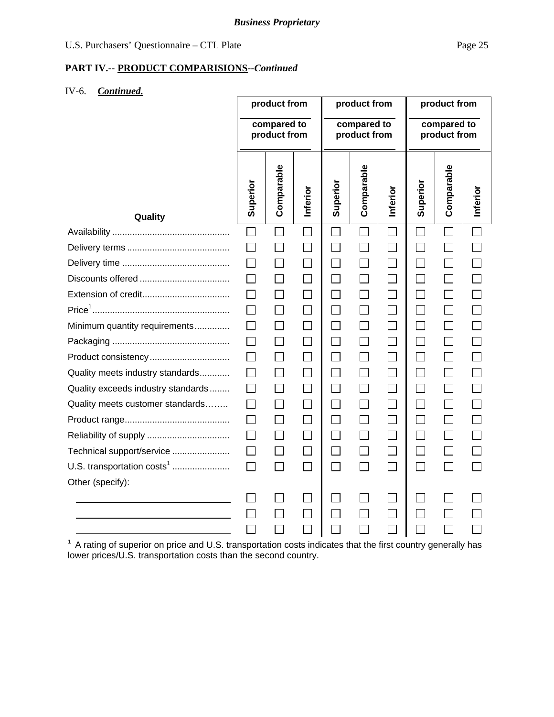### IV-6. *Continued.*

|                                    | product from<br>compared to |                          | product from<br>compared to<br>product from |                             |              | product from<br>compared to |              |              |          |
|------------------------------------|-----------------------------|--------------------------|---------------------------------------------|-----------------------------|--------------|-----------------------------|--------------|--------------|----------|
|                                    |                             | product from             |                                             |                             |              |                             | product from |              |          |
| Quality                            | Superior                    | Comparable               | Inferior                                    | Superior                    | Comparable   | Inferior                    | Superior     | Comparable   | Inferior |
|                                    | $\Box$                      |                          | $\Box$                                      | $\blacksquare$              | $\mathsf{L}$ |                             | $\mathbf{I}$ |              |          |
|                                    |                             |                          |                                             |                             |              |                             |              |              |          |
|                                    |                             | $\Box$                   |                                             | $\Box$                      |              | $\Box$                      |              |              |          |
|                                    |                             | $\Box$                   |                                             | $\Box$                      |              | $\vert \ \ \vert$           |              |              |          |
|                                    |                             | Π                        |                                             |                             |              |                             |              |              |          |
|                                    |                             | $\Box$                   | П                                           | $\Box$                      |              | $\Box$                      | $\Box$       | $\Box$       |          |
| Minimum quantity requirements      |                             | $\Box$                   |                                             | П                           |              |                             |              |              |          |
|                                    |                             | $\overline{\phantom{0}}$ |                                             | $\mathcal{L}_{\mathcal{A}}$ |              |                             |              | $\mathbf{L}$ |          |
| Product consistency                |                             | $\Box$                   | $\Box$                                      | $\Box$                      |              | $\Box$                      |              | $\Box$       |          |
| Quality meets industry standards   |                             | $\Box$                   |                                             | $\Box$                      |              |                             |              |              |          |
| Quality exceeds industry standards |                             |                          |                                             |                             |              |                             |              |              |          |
| Quality meets customer standards   |                             | $\Box$                   | $\Box$                                      | П                           |              | $\Box$                      | $\Box$       | $\Box$       |          |
|                                    |                             | $\Box$                   |                                             | П                           |              |                             |              |              |          |
|                                    |                             | $\Box$                   |                                             |                             |              |                             |              |              |          |
| Technical support/service          | $\Box$                      | $\Box$                   |                                             | П                           |              | $\overline{\phantom{a}}$    | $\Box$       | $\Box$       |          |
| U.S. transportation $costs1$       | П                           | $\blacksquare$           |                                             | $\Box$                      |              |                             |              |              |          |
| Other (specify):                   |                             |                          |                                             |                             |              |                             |              |              |          |
|                                    |                             |                          |                                             |                             |              |                             |              |              |          |
|                                    |                             |                          |                                             |                             |              |                             |              |              |          |
|                                    |                             |                          |                                             |                             |              |                             |              |              |          |

 $1$  A rating of superior on price and U.S. transportation costs indicates that the first country generally has lower prices/U.S. transportation costs than the second country.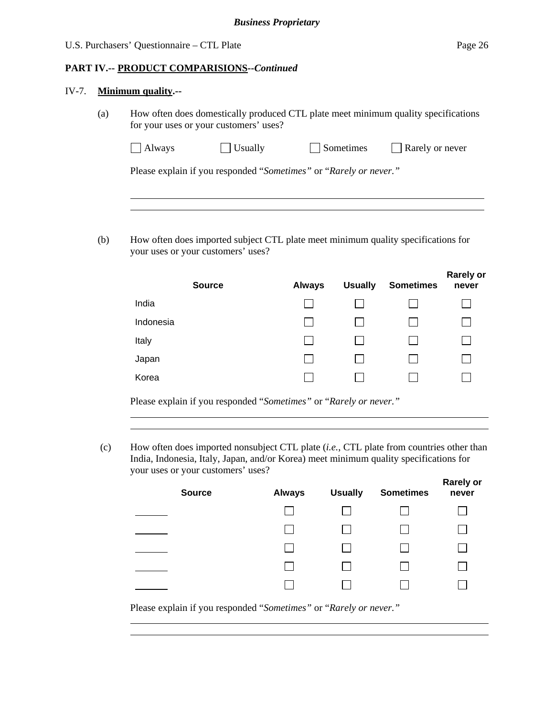#### IV-7. **Minimum quality.--**

l

l

l

(a) How often does domestically produced CTL plate meet minimum quality specifications for your uses or your customers' uses?

| $\Box$ Usually<br>Rarely or never<br>Sometimes<br>Always |  |
|----------------------------------------------------------|--|
|----------------------------------------------------------|--|

Please explain if you responded "*Sometimes"* or "*Rarely or never."*

(b) How often does imported subject CTL plate meet minimum quality specifications for your uses or your customers' uses?

|                                           | <b>Source</b> |                                                                                                                | <b>Always</b> | <b>Usually</b> | <b>Sometimes</b> | <b>Rarely or</b><br>never |
|-------------------------------------------|---------------|----------------------------------------------------------------------------------------------------------------|---------------|----------------|------------------|---------------------------|
| India                                     |               |                                                                                                                |               |                |                  |                           |
| Indonesia                                 |               |                                                                                                                |               |                |                  |                           |
| Italy                                     |               |                                                                                                                |               |                |                  |                           |
| Japan                                     |               |                                                                                                                |               |                |                  |                           |
| Korea                                     |               |                                                                                                                |               |                |                  |                           |
| - -<br>$\sim$ $\sim$ $\sim$ $\sim$ $\sim$ |               | المستحدث المدار المستندان المستندان والمستندان والمستندان والمستندان والمستندان والمستندان والمستندان والمستند |               |                |                  |                           |

Please explain if you responded "*Sometimes"* or "*Rarely or never."*

 (c) How often does imported nonsubject CTL plate (*i.e.*, CTL plate from countries other than India, Indonesia, Italy, Japan, and/or Korea) meet minimum quality specifications for your uses or your customers' uses?

| <b>Source</b>                                                     | <b>Always</b> | <b>Usually</b> | <b>Sometimes</b> | <b>Rarely or</b><br>never |
|-------------------------------------------------------------------|---------------|----------------|------------------|---------------------------|
|                                                                   |               |                |                  |                           |
|                                                                   |               |                |                  |                           |
|                                                                   |               |                |                  |                           |
|                                                                   |               |                |                  |                           |
|                                                                   |               |                |                  |                           |
| Please explain if you responded "Sometimes" or "Rarely or never." |               |                |                  |                           |